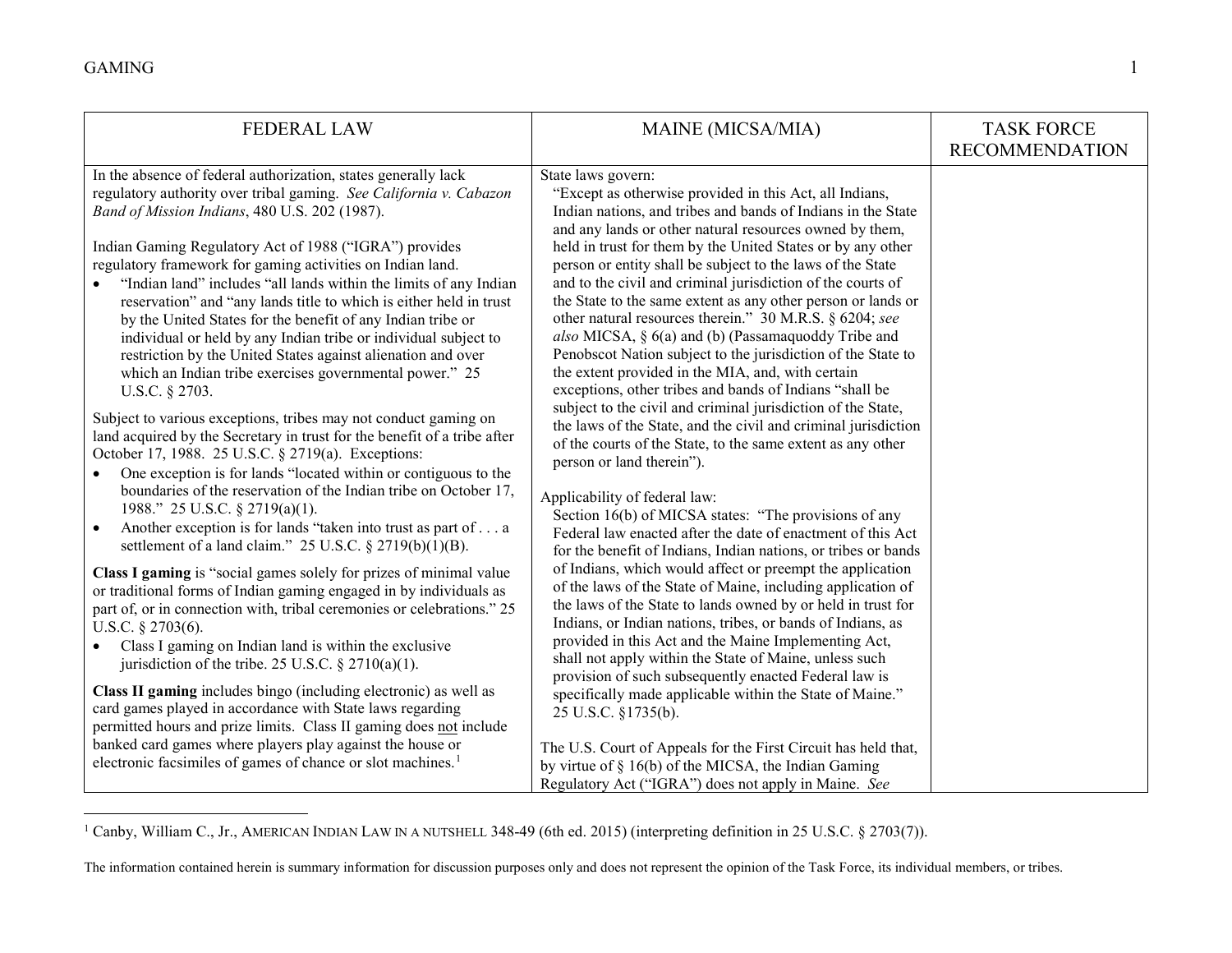<span id="page-0-0"></span>

| <b>FEDERAL LAW</b>                                                                                                                                                                                                                                                                                                                                                                                                                                                                                                                                                                                                                                                                                                                                                                                                                                                                                                                                                                                                                                                                                                                                                                                                                                                                                                                                                                                                                                                                                                                                                                                                                                                                                                                                                                                                                                                                                                                                                                                        | MAINE (MICSA/MIA)                                                                                                                                                                                                                                                                                                                                                                                                                                                                                                                                                                                                                                                                                                                                                                                                                                                                                                                                                                                                                                                                                                                                                                                                                                                                                                                                                                                                                                                                                                                                                                                                                                                                                                                                                                                                                                                                                                                          | <b>TASK FORCE</b><br><b>RECOMMENDATION</b> |
|-----------------------------------------------------------------------------------------------------------------------------------------------------------------------------------------------------------------------------------------------------------------------------------------------------------------------------------------------------------------------------------------------------------------------------------------------------------------------------------------------------------------------------------------------------------------------------------------------------------------------------------------------------------------------------------------------------------------------------------------------------------------------------------------------------------------------------------------------------------------------------------------------------------------------------------------------------------------------------------------------------------------------------------------------------------------------------------------------------------------------------------------------------------------------------------------------------------------------------------------------------------------------------------------------------------------------------------------------------------------------------------------------------------------------------------------------------------------------------------------------------------------------------------------------------------------------------------------------------------------------------------------------------------------------------------------------------------------------------------------------------------------------------------------------------------------------------------------------------------------------------------------------------------------------------------------------------------------------------------------------------------|--------------------------------------------------------------------------------------------------------------------------------------------------------------------------------------------------------------------------------------------------------------------------------------------------------------------------------------------------------------------------------------------------------------------------------------------------------------------------------------------------------------------------------------------------------------------------------------------------------------------------------------------------------------------------------------------------------------------------------------------------------------------------------------------------------------------------------------------------------------------------------------------------------------------------------------------------------------------------------------------------------------------------------------------------------------------------------------------------------------------------------------------------------------------------------------------------------------------------------------------------------------------------------------------------------------------------------------------------------------------------------------------------------------------------------------------------------------------------------------------------------------------------------------------------------------------------------------------------------------------------------------------------------------------------------------------------------------------------------------------------------------------------------------------------------------------------------------------------------------------------------------------------------------------------------------------|--------------------------------------------|
| In the absence of federal authorization, states generally lack<br>regulatory authority over tribal gaming. See California v. Cabazon<br>Band of Mission Indians, 480 U.S. 202 (1987).<br>Indian Gaming Regulatory Act of 1988 ("IGRA") provides<br>regulatory framework for gaming activities on Indian land.<br>"Indian land" includes "all lands within the limits of any Indian<br>reservation" and "any lands title to which is either held in trust<br>by the United States for the benefit of any Indian tribe or<br>individual or held by any Indian tribe or individual subject to<br>restriction by the United States against alienation and over<br>which an Indian tribe exercises governmental power." 25<br>U.S.C. § 2703.<br>Subject to various exceptions, tribes may not conduct gaming on<br>land acquired by the Secretary in trust for the benefit of a tribe after<br>October 17, 1988. 25 U.S.C. § 2719(a). Exceptions:<br>One exception is for lands "located within or contiguous to the<br>$\bullet$<br>boundaries of the reservation of the Indian tribe on October 17,<br>1988." 25 U.S.C. § 2719(a)(1).<br>Another exception is for lands "taken into trust as part of a<br>$\bullet$<br>settlement of a land claim." $25$ U.S.C. § $2719(b)(1)(B)$ .<br>Class I gaming is "social games solely for prizes of minimal value<br>or traditional forms of Indian gaming engaged in by individuals as<br>part of, or in connection with, tribal ceremonies or celebrations." 25<br>U.S.C. $\S$ 2703(6).<br>Class I gaming on Indian land is within the exclusive<br>$\bullet$<br>jurisdiction of the tribe. 25 U.S.C. § 2710(a)(1).<br>Class II gaming includes bingo (including electronic) as well as<br>card games played in accordance with State laws regarding<br>permitted hours and prize limits. Class II gaming does not include<br>banked card games where players play against the house or<br>electronic facsimiles of games of chance or slot machines. <sup>1</sup> | State laws govern:<br>"Except as otherwise provided in this Act, all Indians,<br>Indian nations, and tribes and bands of Indians in the State<br>and any lands or other natural resources owned by them,<br>held in trust for them by the United States or by any other<br>person or entity shall be subject to the laws of the State<br>and to the civil and criminal jurisdiction of the courts of<br>the State to the same extent as any other person or lands or<br>other natural resources therein." 30 M.R.S. § 6204; see<br>also MICSA, § 6(a) and (b) (Passamaquoddy Tribe and<br>Penobscot Nation subject to the jurisdiction of the State to<br>the extent provided in the MIA, and, with certain<br>exceptions, other tribes and bands of Indians "shall be<br>subject to the civil and criminal jurisdiction of the State,<br>the laws of the State, and the civil and criminal jurisdiction<br>of the courts of the State, to the same extent as any other<br>person or land therein").<br>Applicability of federal law:<br>Section 16(b) of MICSA states: "The provisions of any<br>Federal law enacted after the date of enactment of this Act<br>for the benefit of Indians, Indian nations, or tribes or bands<br>of Indians, which would affect or preempt the application<br>of the laws of the State of Maine, including application of<br>the laws of the State to lands owned by or held in trust for<br>Indians, or Indian nations, tribes, or bands of Indians, as<br>provided in this Act and the Maine Implementing Act,<br>shall not apply within the State of Maine, unless such<br>provision of such subsequently enacted Federal law is<br>specifically made applicable within the State of Maine."<br>25 U.S.C. §1735(b).<br>The U.S. Court of Appeals for the First Circuit has held that,<br>by virtue of § 16(b) of the MICSA, the Indian Gaming<br>Regulatory Act ("IGRA") does not apply in Maine. See |                                            |

<sup>&</sup>lt;sup>1</sup> Canby, William C., Jr., AMERICAN INDIAN LAW IN A NUTSHELL 348-49 (6th ed. 2015) (interpreting definition in 25 U.S.C. § 2703(7)).

The information contained herein is summary information for discussion purposes only and does not represent the opinion of the Task Force, its individual members, or tribes.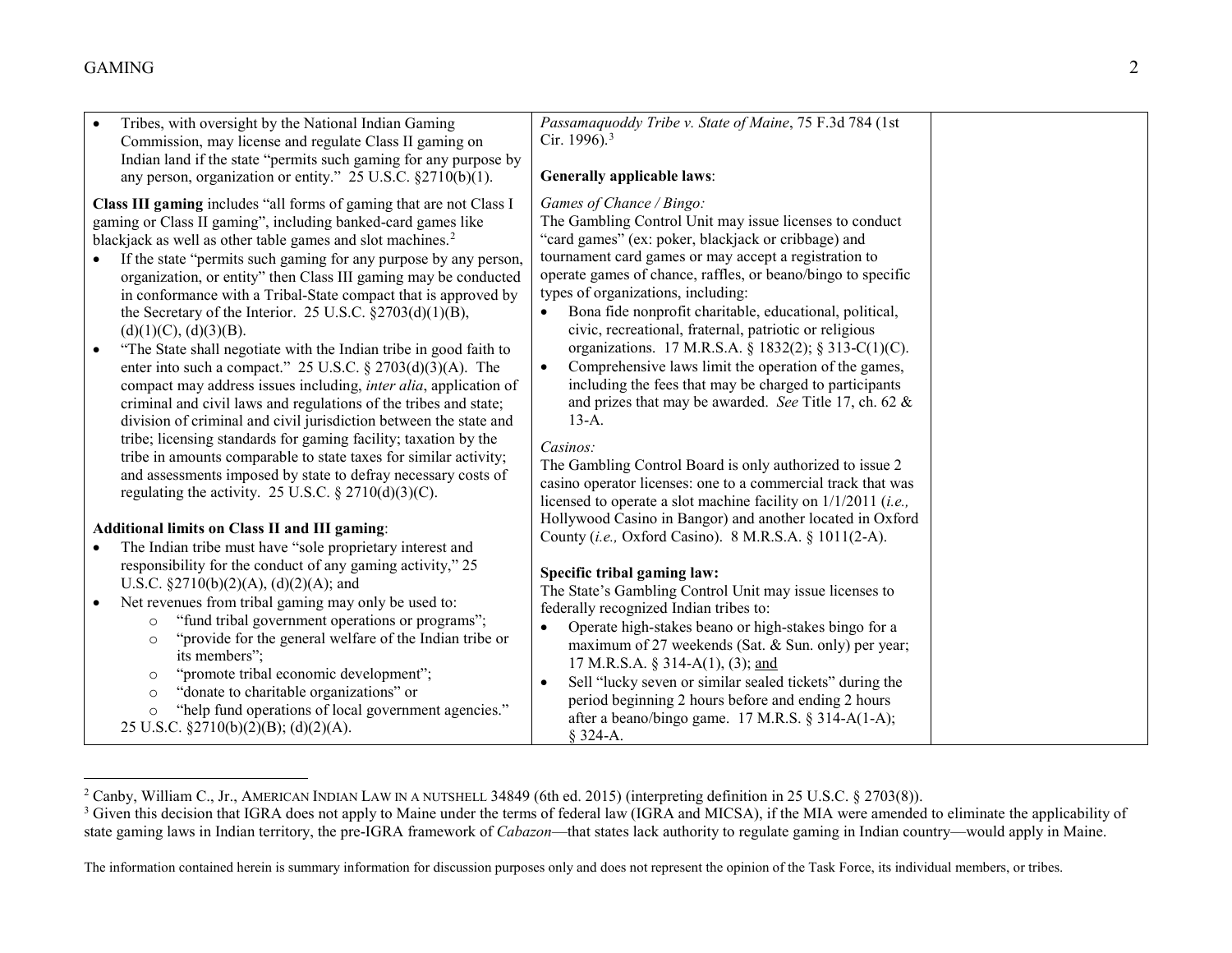<span id="page-1-1"></span><span id="page-1-0"></span>

| Tribes, with oversight by the National Indian Gaming                                         | Passamaquoddy Tribe v. State of Maine, 75 F.3d 784 (1st              |  |
|----------------------------------------------------------------------------------------------|----------------------------------------------------------------------|--|
| Commission, may license and regulate Class II gaming on                                      | Cir. 1996). <sup>3</sup>                                             |  |
| Indian land if the state "permits such gaming for any purpose by                             |                                                                      |  |
| any person, organization or entity." 25 U.S.C. $\S 2710(b)(1)$ .                             | <b>Generally applicable laws:</b>                                    |  |
| Class III gaming includes "all forms of gaming that are not Class I                          | Games of Chance / Bingo:                                             |  |
| gaming or Class II gaming", including banked-card games like                                 | The Gambling Control Unit may issue licenses to conduct              |  |
| blackjack as well as other table games and slot machines. <sup>2</sup>                       | "card games" (ex: poker, blackjack or cribbage) and                  |  |
| If the state "permits such gaming for any purpose by any person,                             | tournament card games or may accept a registration to                |  |
| organization, or entity" then Class III gaming may be conducted                              | operate games of chance, raffles, or beano/bingo to specific         |  |
| in conformance with a Tribal-State compact that is approved by                               | types of organizations, including:                                   |  |
| the Secretary of the Interior. 25 U.S.C. $\S 2703(d)(1)(B)$ ,                                | Bona fide nonprofit charitable, educational, political,              |  |
| (d)(1)(C), (d)(3)(B).                                                                        | civic, recreational, fraternal, patriotic or religious               |  |
| "The State shall negotiate with the Indian tribe in good faith to                            | organizations. 17 M.R.S.A. § 1832(2); § 313-C(1)(C).                 |  |
| enter into such a compact." 25 U.S.C. $\S 2703(d)(3)(A)$ . The                               | Comprehensive laws limit the operation of the games,<br>$\bullet$    |  |
| compact may address issues including, <i>inter alia</i> , application of                     | including the fees that may be charged to participants               |  |
| criminal and civil laws and regulations of the tribes and state;                             | and prizes that may be awarded. See Title 17, ch. 62 &               |  |
| division of criminal and civil jurisdiction between the state and                            | $13-A.$                                                              |  |
| tribe; licensing standards for gaming facility; taxation by the                              | Casinos:                                                             |  |
| tribe in amounts comparable to state taxes for similar activity;                             | The Gambling Control Board is only authorized to issue 2             |  |
| and assessments imposed by state to defray necessary costs of                                | casino operator licenses: one to a commercial track that was         |  |
| regulating the activity. 25 U.S.C. § 2710(d)(3)(C).                                          | licensed to operate a slot machine facility on $1/1/2011$ (i.e.,     |  |
|                                                                                              | Hollywood Casino in Bangor) and another located in Oxford            |  |
| <b>Additional limits on Class II and III gaming:</b>                                         | County (i.e., Oxford Casino). 8 M.R.S.A. § 1011(2-A).                |  |
| The Indian tribe must have "sole proprietary interest and                                    |                                                                      |  |
| responsibility for the conduct of any gaming activity," 25                                   | Specific tribal gaming law:                                          |  |
| U.S.C. $\S 2710(b)(2)(A)$ , (d)(2)(A); and                                                   | The State's Gambling Control Unit may issue licenses to              |  |
| Net revenues from tribal gaming may only be used to:                                         | federally recognized Indian tribes to:                               |  |
| "fund tribal government operations or programs";<br>$\circ$                                  | Operate high-stakes beano or high-stakes bingo for a<br>$\bullet$    |  |
| "provide for the general welfare of the Indian tribe or<br>$\circ$                           | maximum of 27 weekends (Sat. & Sun. only) per year;                  |  |
| its members";                                                                                | 17 M.R.S.A. § 314-A(1), (3); and                                     |  |
| "promote tribal economic development";<br>$\circ$<br>"donate to charitable organizations" or | Sell "lucky seven or similar sealed tickets" during the<br>$\bullet$ |  |
| $\circ$<br>"help fund operations of local government agencies."                              | period beginning 2 hours before and ending 2 hours                   |  |
| 25 U.S.C. §2710(b)(2)(B); (d)(2)(A).                                                         | after a beano/bingo game. 17 M.R.S. § 314-A(1-A);                    |  |
|                                                                                              | $§$ 324-A.                                                           |  |

<sup>&</sup>lt;sup>2</sup> Canby, William C., Jr., AMERICAN INDIAN LAW IN A NUTSHELL 34849 (6th ed. 2015) (interpreting definition in 25 U.S.C. § 2703(8)).

<sup>&</sup>lt;sup>3</sup> Given this decision that IGRA does not apply to Maine under the terms of federal law (IGRA and MICSA), if the MIA were amended to eliminate the applicability of state gaming laws in Indian territory, the pre-IGRA framework of *Cabazon*—that states lack authority to regulate gaming in Indian country—would apply in Maine.

The information contained herein is summary information for discussion purposes only and does not represent the opinion of the Task Force, its individual members, or tribes.